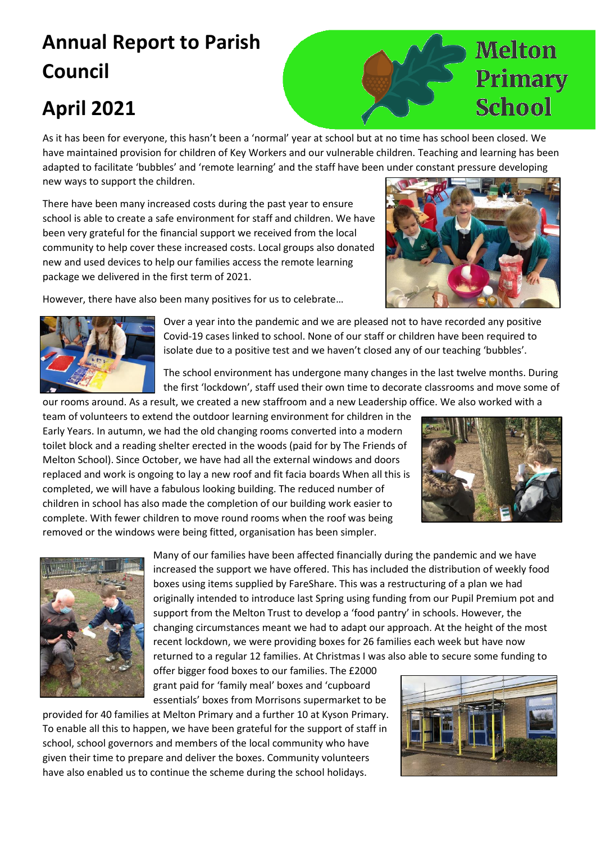## **Annual Report to Parish Council**

## **April 2021**

As it has been for everyone, this hasn't been a 'normal' year at school but at no time has school been closed. We have maintained provision for children of Key Workers and our vulnerable children. Teaching and learning has been adapted to facilitate 'bubbles' and 'remote learning' and the staff have been under constant pressure developing new ways to support the children.

There have been many increased costs during the past year to ensure school is able to create a safe environment for staff and children. We have been very grateful for the financial support we received from the local community to help cover these increased costs. Local groups also donated new and used devices to help our families access the remote learning package we delivered in the first term of 2021.

However, there have also been many positives for us to celebrate…





Over a year into the pandemic and we are pleased not to have recorded any positive Covid-19 cases linked to school. None of our staff or children have been required to isolate due to a positive test and we haven't closed any of our teaching 'bubbles'.

The school environment has undergone many changes in the last twelve months. During the first 'lockdown', staff used their own time to decorate classrooms and move some of

our rooms around. As a result, we created a new staffroom and a new Leadership office. We also worked with a team of volunteers to extend the outdoor learning environment for children in the Early Years. In autumn, we had the old changing rooms converted into a modern toilet block and a reading shelter erected in the woods (paid for by The Friends of Melton School). Since October, we have had all the external windows and doors replaced and work is ongoing to lay a new roof and fit facia boards When all this is completed, we will have a fabulous looking building. The reduced number of children in school has also made the completion of our building work easier to complete. With fewer children to move round rooms when the roof was being removed or the windows were being fitted, organisation has been simpler.





Many of our families have been affected financially during the pandemic and we have increased the support we have offered. This has included the distribution of weekly food boxes using items supplied by FareShare. This was a restructuring of a plan we had originally intended to introduce last Spring using funding from our Pupil Premium pot and support from the Melton Trust to develop a 'food pantry' in schools. However, the changing circumstances meant we had to adapt our approach. At the height of the most recent lockdown, we were providing boxes for 26 families each week but have now returned to a regular 12 families. At Christmas I was also able to secure some funding to

offer bigger food boxes to our families. The £2000 grant paid for 'family meal' boxes and 'cupboard essentials' boxes from Morrisons supermarket to be

provided for 40 families at Melton Primary and a further 10 at Kyson Primary. To enable all this to happen, we have been grateful for the support of staff in school, school governors and members of the local community who have given their time to prepare and deliver the boxes. Community volunteers have also enabled us to continue the scheme during the school holidays.



## Primary School

**Melton**